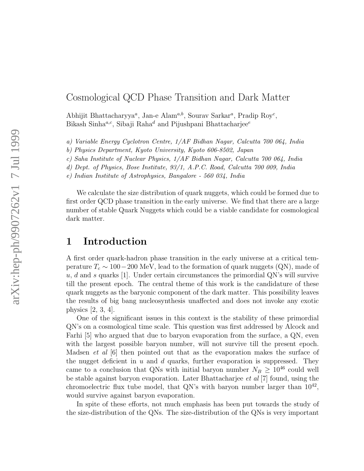### Cosmological QCD Phase Transition and Dark Matter

Abhijit Bhattacharyya<sup>a</sup>, Jan-e Alam<sup>a,b</sup>, Sourav Sarkar<sup>a</sup>, Pradip Roy<sup>c</sup>, Bikash Sinha<sup>a,c</sup>, Sibaji Raha<sup>d</sup> and Pijushpani Bhattacharjee<sup>e</sup>

a) Variable Energy Cyclotron Centre, 1/AF Bidhan Nagar, Calcutta 700 064, India

b) Physics Department, Kyoto University, Kyoto 606-8502, Japan

c) Saha Institute of Nuclear Physics, 1/AF Bidhan Nagar, Calcutta 700 064, India

d) Dept. of Physics, Bose Institute, 93/1, A.P.C. Road, Calcutta 700 009, India

e) Indian Institute of Astrophysics, Bangalore - 560 034, India

We calculate the size distribution of quark nuggets, which could be formed due to first order QCD phase transition in the early universe. We find that there are a large number of stable Quark Nuggets which could be a viable candidate for cosmological dark matter.

#### 1 Introduction

A first order quark-hadron phase transition in the early universe at a critical temperature  $T_c \sim 100-200$  MeV, lead to the formation of quark nuggets (QN), made of  $u, d$  and s quarks [1]. Under certain circumstances the primordial QN's will survive till the present epoch. The central theme of this work is the candidature of these quark nuggets as the baryonic component of the dark matter. This possibility leaves the results of big bang nucleosynthesis unaffected and does not invoke any exotic physics [2, 3, 4].

One of the significant issues in this context is the stability of these primordial QN's on a cosmological time scale. This question was first addressed by Alcock and Farhi [5] who argued that due to baryon evaporation from the surface, a QN, even with the largest possible baryon number, will not survive till the present epoch. Madsen *et al*  $[6]$  then pointed out that as the evaporation makes the surface of the nugget deficient in  $u$  and  $d$  quarks, further evaporation is suppressed. They came to a conclusion that QNs with initial baryon number  $N_B \geq 10^{46}$  could well be stable against baryon evaporation. Later Bhattacharjee et al [7] found, using the chromoelectric flux tube model, that QN's with baryon number larger than  $10^{42}$ , would survive against baryon evaporation.

In spite of these efforts, not much emphasis has been put towards the study of the size-distribution of the QNs. The size-distribution of the QNs is very important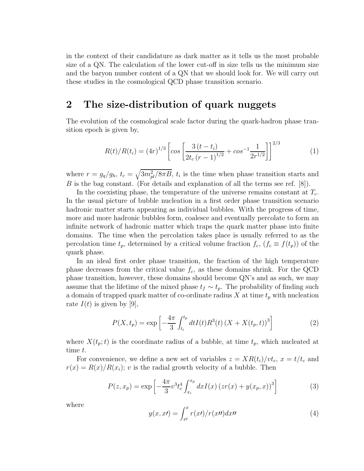in the context of their candidature as dark matter as it tells us the most probable size of a QN. The calculation of the lower cut-off in size tells us the minimum size and the baryon number content of a QN that we should look for. We will carry out these studies in the cosmological QCD phase transition scenario.

## 2 The size-distribution of quark nuggets

The evolution of the cosmological scale factor during the quark-hadron phase transition epoch is given by,

$$
R(t)/R(t_i) = (4r)^{1/3} \left[ \cos \left[ \frac{3(t - t_i)}{2t_c (r - 1)^{1/2}} + \cos^{-1} \frac{1}{2r^{1/2}} \right] \right]^{2/3}
$$
 (1)

where  $r = g_q/g_h$ ,  $t_c = \sqrt{3m_{pl}^2/8\pi B}$ ,  $t_i$  is the time when phase transition starts and B is the bag constant. (For details and explanation of all the terms see ref.  $[8]$ ).

In the coexisting phase, the temperature of the universe remains constant at  $T_c$ . In the usual picture of bubble nucleation in a first order phase transition scenario hadronic matter starts appearing as individual bubbles. With the progress of time, more and more hadronic bubbles form, coalesce and eventually percolate to form an infinite network of hadronic matter which traps the quark matter phase into finite domains. The time when the percolation takes place is usually referred to as the percolation time  $t_p$ , determined by a critical volume fraction  $f_c$ ,  $(f_c \equiv f(t_p))$  of the quark phase.

In an ideal first order phase transition, the fraction of the high temperature phase decreases from the critical value  $f_c$ , as these domains shrink. For the QCD phase transition, however, these domains should become QN's and as such, we may assume that the lifetime of the mixed phase  $t_f \sim t_p$ . The probability of finding such a domain of trapped quark matter of co-ordinate radius  $X$  at time  $t_p$  with nucleation rate  $I(t)$  is given by [9],

$$
P(X, t_p) = \exp\left[-\frac{4\pi}{3} \int_{t_i}^{t_p} dt I(t) R^3(t) (X + X(t_p, t))^3\right]
$$
 (2)

where  $X(t_p; t)$  is the coordinate radius of a bubble, at time  $t_p$ , which nucleated at time t.

For convenience, we define a new set of variables  $z = XR(t_i)/vt_c$ ,  $x = t/t_c$  and  $r(x) = R(x)/R(x_i)$ ; v is the radial growth velocity of a bubble. Then

$$
P(z, x_p) = \exp\left[-\frac{4\pi}{3}v^3 t_c^4 \int_{x_i}^{x_p} dx I(x) (zr(x) + y(x_p, x))^3\right]
$$
(3)

where

$$
y(x, x') = \int_{x'}^{x} r(x') / r(x \prime) dx \prime \prime \tag{4}
$$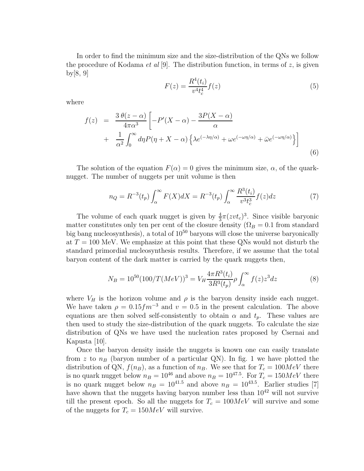In order to find the minimum size and the size-distribution of the QNs we follow the procedure of Kodama *et al* [9]. The distribution function, in terms of  $z$ , is given by[8, 9]

$$
F(z) = \frac{R^4(t_i)}{v^4 t_c^4} f(z)
$$
\n(5)

where

$$
f(z) = \frac{3 \theta(z-\alpha)}{4\pi\alpha^3} \left[ -P'(X-\alpha) - \frac{3P(X-\alpha)}{\alpha} + \frac{1}{\alpha^2} \int_0^\infty d\eta P(\eta + X - \alpha) \left\{ \lambda e^{(-\lambda \eta/\alpha)} + \omega e^{(-\omega \eta/\alpha)} + \bar{\omega} e^{(-\omega \eta/\alpha)} \right\} \right]
$$
(6)

The solution of the equation  $F(\alpha) = 0$  gives the minimum size,  $\alpha$ , of the quarknugget. The number of nuggets per unit volume is then

$$
n_Q = R^{-3}(t_p) \int_{\alpha}^{\infty} F(X) dX = R^{-3}(t_p) \int_{\alpha}^{\infty} \frac{R^3(t_i)}{v^3 t_c^3} f(z) dz \tag{7}
$$

The volume of each quark nugget is given by  $\frac{4}{3}\pi(zvt_c)^3$ . Since visible baryonic matter constitutes only ten per cent of the closure density ( $\Omega_B = 0.1$  from standard big bang nucleosynthesis), a total of  $10^{50}$  baryons will close the universe baryonically at  $T = 100$  MeV. We emphasize at this point that these QNs would not disturb the standard primordial nucleosynthesis results. Therefore, if we assume that the total baryon content of the dark matter is carried by the quark nuggets then,

$$
N_B = 10^{50} (100/T (MeV))^3 = V_H \frac{4\pi R^3(t_i)}{3R^3(t_p)} \rho \int_{\alpha}^{\infty} f(z) z^3 dz \tag{8}
$$

where  $V_H$  is the horizon volume and  $\rho$  is the baryon density inside each nugget. We have taken  $\rho = 0.15 fm^{-3}$  and  $v = 0.5$  in the present calculation. The above equations are then solved self-consistently to obtain  $\alpha$  and  $t_p$ . These values are then used to study the size-distribution of the quark nuggets. To calculate the size distribution of QNs we have used the nucleation rates proposed by Csernai and Kapusta [10].

Once the baryon density inside the nuggets is known one can easily translate from z to  $n_B$  (baryon number of a particular QN). In fig. 1 we have plotted the distribution of QN,  $f(n_B)$ , as a function of  $n_B$ . We see that for  $T_c = 100MeV$  there is no quark nugget below  $n_B = 10^{46}$  and above  $n_B = 10^{47.5}$ . For  $T_c = 150MeV$  there is no quark nugget below  $n_B = 10^{41.5}$  and above  $n_B = 10^{43.5}$ . Earlier studies [7] have shown that the nuggets having baryon number less than  $10^{42}$  will not survive till the present epoch. So all the nuggets for  $T_c = 100MeV$  will survive and some of the nuggets for  $T_c = 150MeV$  will survive.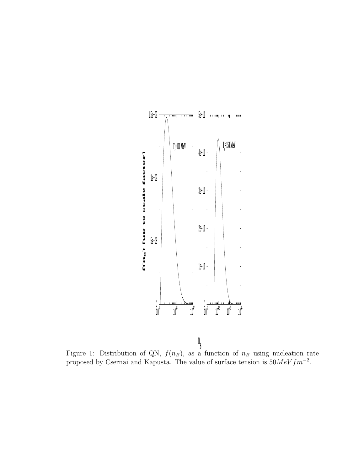

**Figure 1:** Distribution of QN,  $f(n_B)$ , as a function of  $n_B$  using nucleation rate proposed by Csernai and Kapusta. The value of surface tension is  $50MeV fm^{-2}$ .